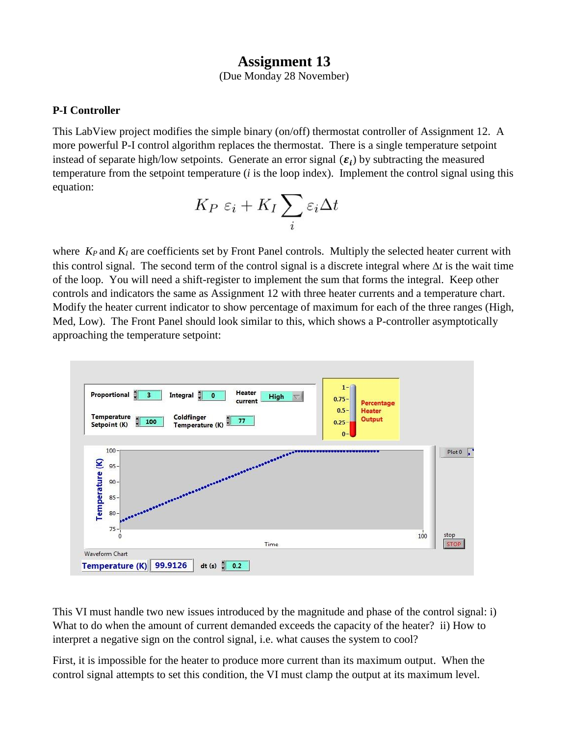## **Assignment 13**

(Due Monday 28 November)

## **P-I Controller**

This LabView project modifies the simple binary (on/off) thermostat controller of Assignment 12. A more powerful P-I control algorithm replaces the thermostat. There is a single temperature setpoint instead of separate high/low setpoints. Generate an error signal  $(\varepsilon_i)$  by subtracting the measured temperature from the setpoint temperature (*i* is the loop index). Implement the control signal using this equation:

$$
K_P \; \varepsilon_i + K_I \sum_i \varepsilon_i \Delta t
$$

where *K<sub>P</sub>* and *K<sub>I</sub>* are coefficients set by Front Panel controls. Multiply the selected heater current with this control signal. The second term of the control signal is a discrete integral where  $\Delta t$  is the wait time of the loop. You will need a shift-register to implement the sum that forms the integral. Keep other controls and indicators the same as Assignment 12 with three heater currents and a temperature chart. Modify the heater current indicator to show percentage of maximum for each of the three ranges (High, Med, Low). The Front Panel should look similar to this, which shows a P-controller asymptotically approaching the temperature setpoint:



This VI must handle two new issues introduced by the magnitude and phase of the control signal: i) What to do when the amount of current demanded exceeds the capacity of the heater? ii) How to interpret a negative sign on the control signal, i.e. what causes the system to cool?

First, it is impossible for the heater to produce more current than its maximum output. When the control signal attempts to set this condition, the VI must clamp the output at its maximum level.